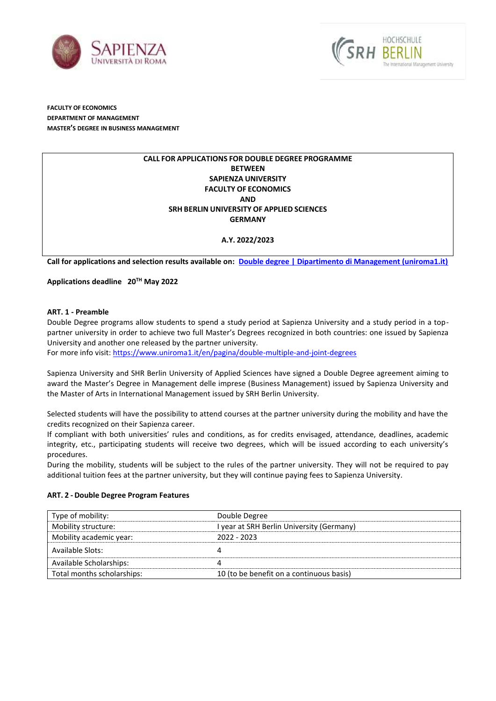



**FACULTY OF ECONOMICS DEPARTMENT OF MANAGEMENT MASTER'S DEGREE IN BUSINESS MANAGEMENT**

## **CALL FOR APPLICATIONS FOR DOUBLE DEGREE PROGRAMME BETWEEN SAPIENZA UNIVERSITY FACULTY OF ECONOMICS AND SRH BERLIN UNIVERSITY OF APPLIED SCIENCES GERMANY**

## **A.Y. 2022/2023**

**Call for applications and selection results available on: [Double degree | Dipartimento di Management \(uniroma1.it\)](https://web.uniroma1.it/___)**

## **Applications deadline 20TH May 2022**

#### **ART. 1 - Preamble**

Double Degree programs allow students to spend a study period at Sapienza University and a study period in a toppartner university in order to achieve two full Master's Degrees recognized in both countries: one issued by Sapienza University and another one released by the partner university.

For more info visit[: https://www.uniroma1.it/en/pagina/double-multiple-and-joint-degrees](https://www.uniroma1.it/en/pagina/double-multiple-and-joint-degrees)

Sapienza University and SHR Berlin University of Applied Sciences have signed a Double Degree agreement aiming to award the Master's Degree in Management delle imprese (Business Management) issued by Sapienza University and the Master of Arts in International Management issued by SRH Berlin University.

Selected students will have the possibility to attend courses at the partner university during the mobility and have the credits recognized on their Sapienza career.

If compliant with both universities' rules and conditions, as for credits envisaged, attendance, deadlines, academic integrity, etc., participating students will receive two degrees, which will be issued according to each university's procedures.

During the mobility, students will be subject to the rules of the partner university. They will not be required to pay additional tuition fees at the partner university, but they will continue paying fees to Sapienza University.

## **ART. 2 - Double Degree Program Features**

| Type of mobility:          | Double Degree                             |
|----------------------------|-------------------------------------------|
| Mobility structure:        | I year at SRH Berlin University (Germany) |
| Mobility academic year:    | $2022 - 2023$                             |
| Available Slots:           |                                           |
| Available Scholarships:    |                                           |
| Total months scholarships: | 10 (to be benefit on a continuous basis)  |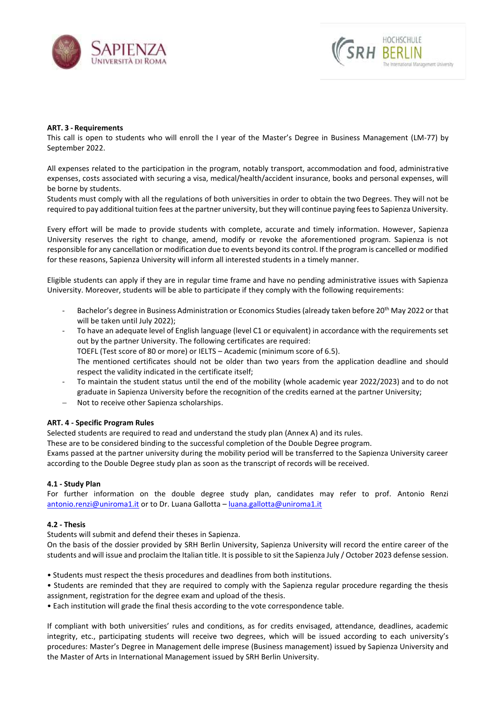



## **ART. 3 - Requirements**

This call is open to students who will enroll the I year of the Master's Degree in Business Management (LM-77) by September 2022.

All expenses related to the participation in the program, notably transport, accommodation and food, administrative expenses, costs associated with securing a visa, medical/health/accident insurance, books and personal expenses, will be borne by students.

Students must comply with all the regulations of both universities in order to obtain the two Degrees. They will not be required to pay additional tuition fees at the partner university, but they will continue paying fees to Sapienza University.

Every effort will be made to provide students with complete, accurate and timely information. However, Sapienza University reserves the right to change, amend, modify or revoke the aforementioned program. Sapienza is not responsible for any cancellation or modification due to events beyond its control. If the program is cancelled or modified for these reasons, Sapienza University will inform all interested students in a timely manner.

Eligible students can apply if they are in regular time frame and have no pending administrative issues with Sapienza University. Moreover, students will be able to participate if they comply with the following requirements:

- Bachelor's degree in Business Administration or Economics Studies (already taken before 20<sup>th</sup> May 2022 or that will be taken until July 2022);
- To have an adequate level of English language (level C1 or equivalent) in accordance with the requirements set out by the partner University. The following certificates are required: TOEFL (Test score of 80 or more) or IELTS – Academic (minimum score of 6.5). The mentioned certificates should not be older than two years from the application deadline and should respect the validity indicated in the certificate itself;
- To maintain the student status until the end of the mobility (whole academic year 2022/2023) and to do not graduate in Sapienza University before the recognition of the credits earned at the partner University;
- − Not to receive other Sapienza scholarships.

#### **ART. 4 - Specific Program Rules**

Selected students are required to read and understand the study plan (Annex A) and its rules.

These are to be considered binding to the successful completion of the Double Degree program.

Exams passed at the partner university during the mobility period will be transferred to the Sapienza University career according to the Double Degree study plan as soon as the transcript of records will be received.

#### **4.1 - Study Plan**

For further information on the double degree study plan, candidates may refer to prof. Antonio Renzi [antonio.renzi@uniroma1.it](mailto:antonio.renzi@uniroma1.it) or to Dr. Luana Gallotta – [luana.gallotta@uniroma1.it](mailto:luana.gallotta@uniroma1.it)

## **4.2 - Thesis**

Students will submit and defend their theses in Sapienza.

On the basis of the dossier provided by SRH Berlin University, Sapienza University will record the entire career of the students and will issue and proclaim the Italian title. It is possible to sit the Sapienza July / October 2023 defense session.

- Students must respect the thesis procedures and deadlines from both institutions.
- Students are reminded that they are required to comply with the Sapienza regular procedure regarding the thesis assignment, registration for the degree exam and upload of the thesis.
- Each institution will grade the final thesis according to the vote correspondence table.

If compliant with both universities' rules and conditions, as for credits envisaged, attendance, deadlines, academic integrity, etc., participating students will receive two degrees, which will be issued according to each university's procedures: Master's Degree in Management delle imprese (Business management) issued by Sapienza University and the Master of Arts in International Management issued by SRH Berlin University.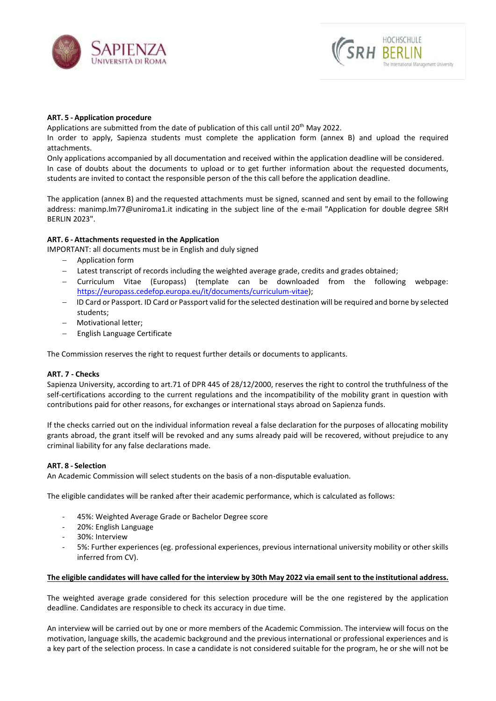



## **ART. 5 - Application procedure**

Applications are submitted from the date of publication of this call until 20<sup>th</sup> May 2022.

In order to apply, Sapienza students must complete the application form (annex B) and upload the required attachments.

Only applications accompanied by all documentation and received within the application deadline will be considered. In case of doubts about the documents to upload or to get further information about the requested documents, students are invited to contact the responsible person of the this call before the application deadline.

The application (annex B) and the requested attachments must be signed, scanned and sent by email to the following address: manimp.lm77@uniroma1.it indicating in the subject line of the e-mail "Application for double degree SRH BERLIN 2023".

## **ART. 6 - Attachments requested in the Application**

IMPORTANT: all documents must be in English and duly signed

- − Application form
- − Latest transcript of records including the weighted average grade, credits and grades obtained;
- − Curriculum Vitae (Europass) (template can be downloaded from the following webpage: [https://europass.cedefop.europa.eu/it/documents/curriculum-vitae\)](https://europass.cedefop.europa.eu/it/documents/curriculum-vitae);
- − ID Card or Passport. ID Card or Passport valid for the selected destination will be required and borne by selected students;
- − Motivational letter;
- − English Language Certificate

The Commission reserves the right to request further details or documents to applicants.

#### **ART. 7 - Checks**

Sapienza University, according to art.71 of DPR 445 of 28/12/2000, reserves the right to control the truthfulness of the self-certifications according to the current regulations and the incompatibility of the mobility grant in question with contributions paid for other reasons, for exchanges or international stays abroad on Sapienza funds.

If the checks carried out on the individual information reveal a false declaration for the purposes of allocating mobility grants abroad, the grant itself will be revoked and any sums already paid will be recovered, without prejudice to any criminal liability for any false declarations made.

#### **ART. 8 - Selection**

An Academic Commission will select students on the basis of a non-disputable evaluation.

The eligible candidates will be ranked after their academic performance, which is calculated as follows:

- 45%: Weighted Average Grade or Bachelor Degree score
- 20%: English Language
- 30%: Interview
- 5%: Further experiences (eg. professional experiences, previous international university mobility or other skills inferred from CV).

#### **The eligible candidates will have called for the interview by 30th May 2022 via email sent to the institutional address.**

The weighted average grade considered for this selection procedure will be the one registered by the application deadline. Candidates are responsible to check its accuracy in due time.

An interview will be carried out by one or more members of the Academic Commission. The interview will focus on the motivation, language skills, the academic background and the previous international or professional experiences and is a key part of the selection process. In case a candidate is not considered suitable for the program, he or she will not be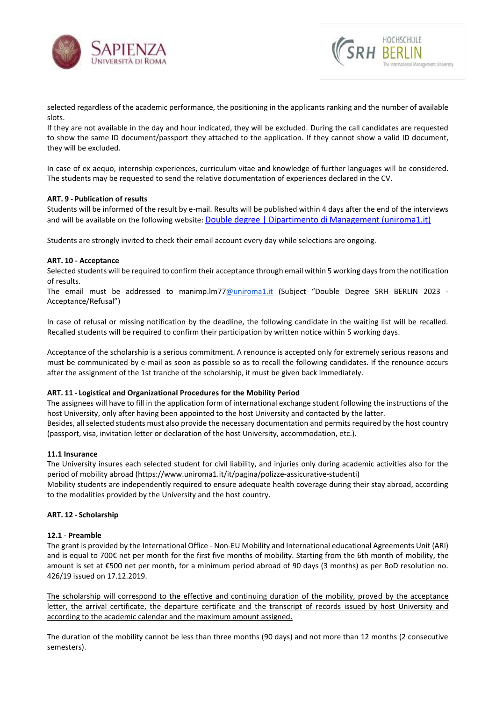



selected regardless of the academic performance, the positioning in the applicants ranking and the number of available slots.

If they are not available in the day and hour indicated, they will be excluded. During the call candidates are requested to show the same ID document/passport they attached to the application. If they cannot show a valid ID document, they will be excluded.

In case of ex aequo, internship experiences, curriculum vitae and knowledge of further languages will be considered. The students may be requested to send the relative documentation of experiences declared in the CV.

## **ART. 9 - Publication of results**

Students will be informed of the result by e-mail. Results will be published within 4 days after the end of the interviews and will be available on the following website: [Double degree | Dipartimento di Management \(uniroma1.it\)](https://web.uniroma1.it/dip_management/double-degree/double-degree-0)

Students are strongly invited to check their email account every day while selections are ongoing.

## **ART. 10 - Acceptance**

Selected students will be required to confirm their acceptance through email within 5 working days from the notification of results.

The email must be addressed to manimp.lm7[7@uniroma1.it](mailto:mariateresa.ottati@uniroma1.it) (Subject "Double Degree SRH BERLIN 2023 - Acceptance/Refusal")

In case of refusal or missing notification by the deadline, the following candidate in the waiting list will be recalled. Recalled students will be required to confirm their participation by written notice within 5 working days.

Acceptance of the scholarship is a serious commitment. A renounce is accepted only for extremely serious reasons and must be communicated by e-mail as soon as possible so as to recall the following candidates. If the renounce occurs after the assignment of the 1st tranche of the scholarship, it must be given back immediately.

#### **ART. 11 - Logistical and Organizational Procedures for the Mobility Period**

The assignees will have to fill in the application form of international exchange student following the instructions of the host University, only after having been appointed to the host University and contacted by the latter. Besides, all selected students must also provide the necessary documentation and permits required by the host country (passport, visa, invitation letter or declaration of the host University, accommodation, etc.).

#### **11.1 Insurance**

The University insures each selected student for civil liability, and injuries only during academic activities also for the period of mobility abroad (https://www.uniroma1.it/it/pagina/polizze-assicurative-studenti)

Mobility students are independently required to ensure adequate health coverage during their stay abroad, according to the modalities provided by the University and the host country.

### **ART. 12 - Scholarship**

#### **12.1** - **Preamble**

The grant is provided by the International Office - Non-EU Mobility and International educational Agreements Unit (ARI) and is equal to 700€ net per month for the first five months of mobility. Starting from the 6th month of mobility, the amount is set at €500 net per month, for a minimum period abroad of 90 days (3 months) as per BoD resolution no. 426/19 issued on 17.12.2019.

The scholarship will correspond to the effective and continuing duration of the mobility, proved by the acceptance letter, the arrival certificate, the departure certificate and the transcript of records issued by host University and according to the academic calendar and the maximum amount assigned.

The duration of the mobility cannot be less than three months (90 days) and not more than 12 months (2 consecutive semesters).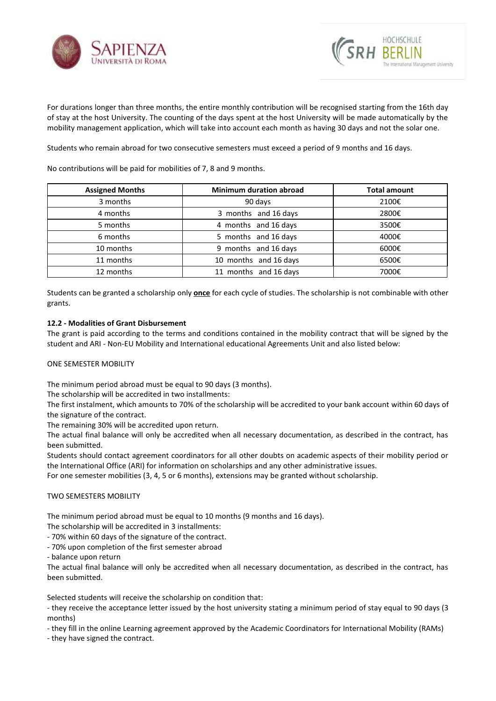



For durations longer than three months, the entire monthly contribution will be recognised starting from the 16th day of stay at the host University. The counting of the days spent at the host University will be made automatically by the mobility management application, which will take into account each month as having 30 days and not the solar one.

Students who remain abroad for two consecutive semesters must exceed a period of 9 months and 16 days.

No contributions will be paid for mobilities of 7, 8 and 9 months.

| <b>Assigned Months</b> | <b>Minimum duration abroad</b> | <b>Total amount</b> |  |  |
|------------------------|--------------------------------|---------------------|--|--|
| 3 months               | 90 days                        | 2100€               |  |  |
| 4 months               | 3 months and 16 days           | 2800€               |  |  |
| 5 months               | 4 months and 16 days           | 3500€               |  |  |
| 6 months               | 5 months and 16 days           | 4000€               |  |  |
| 10 months              | 9 months and 16 days           | 6000€               |  |  |
| 11 months              | 10 months and 16 days          | 6500€               |  |  |
| 12 months              | 11 months and 16 days          | 7000€               |  |  |

Students can be granted a scholarship only **once** for each cycle of studies. The scholarship is not combinable with other grants.

## **12.2 - Modalities of Grant Disbursement**

The grant is paid according to the terms and conditions contained in the mobility contract that will be signed by the student and ARI - Non-EU Mobility and International educational Agreements Unit and also listed below:

## ONE SEMESTER MOBILITY

The minimum period abroad must be equal to 90 days (3 months).

The scholarship will be accredited in two installments:

The first instalment, which amounts to 70% of the scholarship will be accredited to your bank account within 60 days of the signature of the contract.

The remaining 30% will be accredited upon return.

The actual final balance will only be accredited when all necessary documentation, as described in the contract, has been submitted.

Students should contact agreement coordinators for all other doubts on academic aspects of their mobility period or the International Office (ARI) for information on scholarships and any other administrative issues.

For one semester mobilities (3, 4, 5 or 6 months), extensions may be granted without scholarship.

## TWO SEMESTERS MOBILITY

The minimum period abroad must be equal to 10 months (9 months and 16 days).

The scholarship will be accredited in 3 installments:

- 70% within 60 days of the signature of the contract.

- 70% upon completion of the first semester abroad

- balance upon return

The actual final balance will only be accredited when all necessary documentation, as described in the contract, has been submitted.

Selected students will receive the scholarship on condition that:

- they receive the acceptance letter issued by the host university stating a minimum period of stay equal to 90 days (3 months)

- they fill in the online Learning agreement approved by the Academic Coordinators for International Mobility (RAMs)

- they have signed the contract.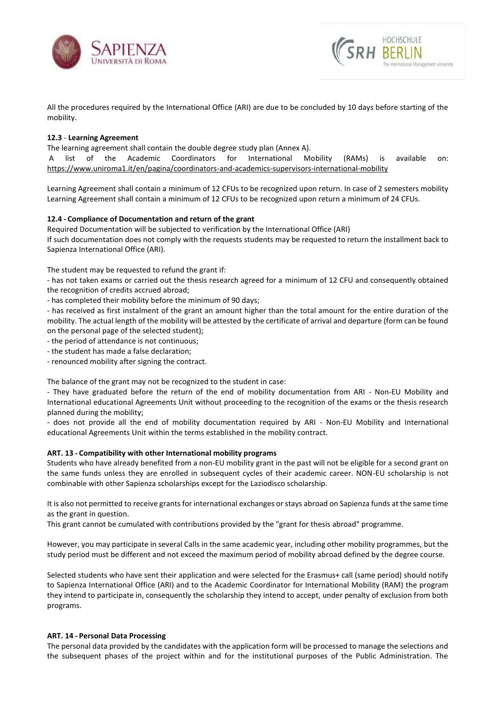



All the procedures required by the International Office (ARI) are due to be concluded by 10 days before starting of the mobility.

## **12.3** - **Learning Agreement**

The learning agreement shall contain the double degree study plan (Annex A).

list of the Academic Coordinators for International Mobility (RAMs) is available on: <https://www.uniroma1.it/en/pagina/coordinators-and-academics-supervisors-international-mobility>

Learning Agreement shall contain a minimum of 12 CFUs to be recognized upon return. In case of 2 semesters mobility Learning Agreement shall contain a minimum of 12 CFUs to be recognized upon return a minimum of 24 CFUs.

## **12.4 - Compliance of Documentation and return of the grant**

Required Documentation will be subjected to verification by the International Office (ARI) If such documentation does not comply with the requests students may be requested to return the installment back to Sapienza International Office (ARI).

The student may be requested to refund the grant if:

- has not taken exams or carried out the thesis research agreed for a minimum of 12 CFU and consequently obtained the recognition of credits accrued abroad;

- has completed their mobility before the minimum of 90 days;

- has received as first instalment of the grant an amount higher than the total amount for the entire duration of the mobility. The actual length of the mobility will be attested by the certificate of arrival and departure (form can be found on the personal page of the selected student);

- the period of attendance is not continuous;

- the student has made a false declaration;
- renounced mobility after signing the contract.

The balance of the grant may not be recognized to the student in case:

- They have graduated before the return of the end of mobility documentation from ARI - Non-EU Mobility and International educational Agreements Unit without proceeding to the recognition of the exams or the thesis research planned during the mobility;

- does not provide all the end of mobility documentation required by ARI - Non-EU Mobility and International educational Agreements Unit within the terms established in the mobility contract.

#### **ART. 13 - Compatibility with other International mobility programs**

Students who have already benefited from a non-EU mobility grant in the past will not be eligible for a second grant on the same funds unless they are enrolled in subsequent cycles of their academic career. NON-EU scholarship is not combinable with other Sapienza scholarships except for the Laziodisco scholarship.

It is also not permitted to receive grants for international exchanges or stays abroad on Sapienza funds at the same time as the grant in question.

This grant cannot be cumulated with contributions provided by the "grant for thesis abroad" programme.

However, you may participate in several Calls in the same academic year, including other mobility programmes, but the study period must be different and not exceed the maximum period of mobility abroad defined by the degree course.

Selected students who have sent their application and were selected for the Erasmus+ call (same period) should notify to Sapienza International Office (ARI) and to the Academic Coordinator for International Mobility (RAM) the program they intend to participate in, consequently the scholarship they intend to accept, under penalty of exclusion from both programs.

## **ART. 14 - Personal Data Processing**

The personal data provided by the candidates with the application form will be processed to manage the selections and the subsequent phases of the project within and for the institutional purposes of the Public Administration. The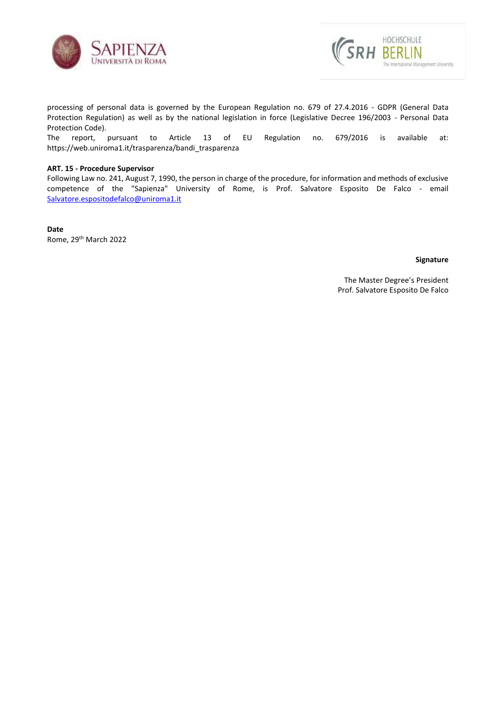



processing of personal data is governed by the European Regulation no. 679 of 27.4.2016 - GDPR (General Data Protection Regulation) as well as by the national legislation in force (Legislative Decree 196/2003 - Personal Data Protection Code).

The report, pursuant to Article 13 of EU Regulation no. 679/2016 is available at: [https://web.uniroma1.it/trasparenza/bandi\\_trasparenza](https://web.uniroma1.it/trasparenza/bandi_trasparenza) 

## **ART. 15 - Procedure Supervisor**

Following Law no. 241, August 7, 1990, the person in charge of the procedure, for information and methods of exclusive competence of the "Sapienza" University of Rome, is Prof. Salvatore Esposito De Falco - email [Salvatore.espositodefalco@uniroma1.it](mailto:Salvatore.espositodefalco@uniroma1.it)

**Date** Rome, 29th March 2022

## **Signature**

 The Master Degree's President Prof. Salvatore Esposito De Falco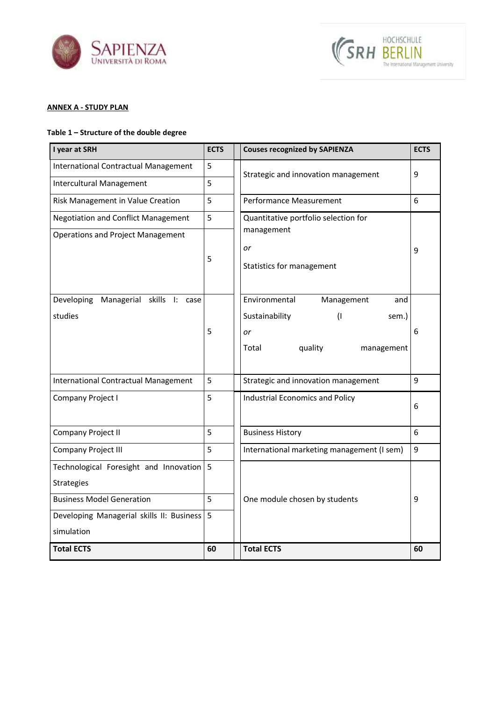



# **ANNEX A - STUDY PLAN**

# **Table 1 – Structure of the double degree**

| I year at SRH                                      | <b>ECTS</b> | <b>Couses recognized by SAPIENZA</b>                                          | <b>ECTS</b> |
|----------------------------------------------------|-------------|-------------------------------------------------------------------------------|-------------|
| <b>International Contractual Management</b>        | 5           |                                                                               | 9           |
| <b>Intercultural Management</b>                    | 5           | Strategic and innovation management                                           |             |
| Risk Management in Value Creation                  | 5           | Performance Measurement                                                       | 6           |
| <b>Negotiation and Conflict Management</b>         | 5           | Quantitative portfolio selection for                                          |             |
| <b>Operations and Project Management</b>           | 5           | management<br>or<br>Statistics for management                                 | 9           |
| Managerial skills I: case<br>Developing<br>studies |             | Environmental<br>Management<br>and<br>Sustainability<br>$\mathbf{I}$<br>sem.) |             |
|                                                    | 5           | or<br>quality<br>Total<br>management                                          | 6           |
| <b>International Contractual Management</b>        | 5           | Strategic and innovation management                                           | 9           |
| Company Project I                                  | 5           | <b>Industrial Economics and Policy</b>                                        | 6           |
| Company Project II                                 | 5           | <b>Business History</b>                                                       | 6           |
| <b>Company Project III</b>                         | 5           | International marketing management (I sem)                                    | 9           |
| Technological Foresight and Innovation             | 5           |                                                                               |             |
| <b>Strategies</b>                                  |             |                                                                               |             |
| <b>Business Model Generation</b>                   | 5           | One module chosen by students                                                 | 9           |
| Developing Managerial skills II: Business          | 5           |                                                                               |             |
| simulation                                         |             |                                                                               |             |
| <b>Total ECTS</b>                                  | 60          | <b>Total ECTS</b>                                                             | 60          |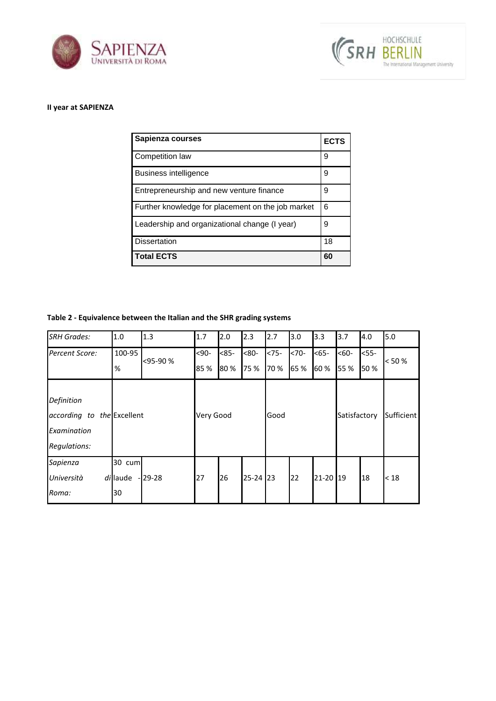



# **II year at SAPIENZA**

| Sapienza courses                                  | <b>ECTS</b> |
|---------------------------------------------------|-------------|
| Competition law                                   | 9           |
| Business intelligence                             | 9           |
| Entrepreneurship and new venture finance          | 9           |
| Further knowledge for placement on the job market | 6           |
| Leadership and organizational change (I year)     | 9           |
| <b>Dissertation</b>                               | 18          |
| <b>Total ECTS</b>                                 | 60          |

# **Table 2 - Equivalence between the Italian and the SHR grading systems**

| <b>SRH Grades:</b>                                                      | 1.0                      | 1.3      | 1.7          | 2.0           | 2.3            | 2.7              | 3.0              | 3.3          | 3.7            | 4.0            | 5.0   |
|-------------------------------------------------------------------------|--------------------------|----------|--------------|---------------|----------------|------------------|------------------|--------------|----------------|----------------|-------|
| Percent Score:                                                          | 100-95<br>%              | <95-90 % | $90$<br>85 % | $<85-$<br>80% | $<80-$<br>75 % | $< 75 -$<br>70 % | $< 70 -$<br>65 % | $65-$<br>60% | $560-$<br>55 % | $<$ 55-<br>50% | < 50% |
| Definition<br>according to the Excellent<br>Examination<br>Regulations: |                          |          | Very Good    |               | Good           |                  | Satisfactory     |              | Sufficient     |                |       |
| Sapienza<br>Università<br>Roma:                                         | 30 cum<br>di laude<br>30 | $-29-28$ | 27           | 26            | 25-24 23       |                  | 22               | 21-20 19     |                | 18             | < 18  |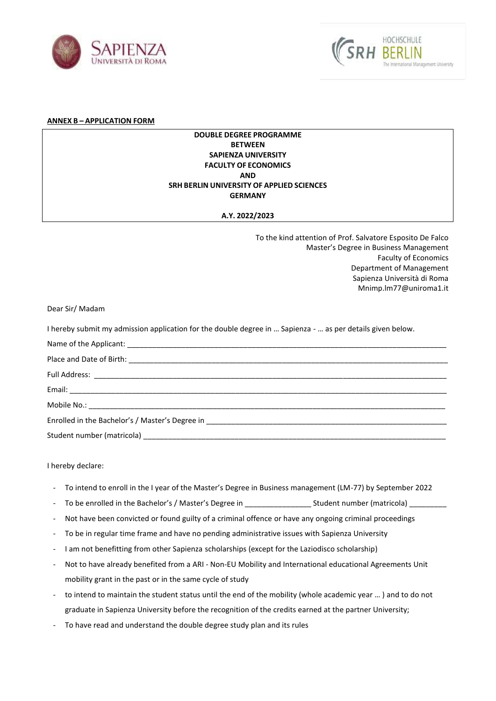



#### **ANNEX B – APPLICATION FORM**

## **DOUBLE DEGREE PROGRAMME BETWEEN SAPIENZA UNIVERSITY FACULTY OF ECONOMICS AND SRH BERLIN UNIVERSITY OF APPLIED SCIENCES GERMANY**

## **A.Y. 2022/2023**

To the kind attention of Prof. Salvatore Esposito De Falco Master's Degree in Business Management Faculty of Economics Department of Management Sapienza Università di Roma Mnimp.lm77@uniroma1.it

Dear Sir/ Madam

I hereby submit my admission application for the double degree in … Sapienza - … as per details given below.

| Enrolled in the Bachelor's / Master's Degree in _________________________________                                                                                                                                              |
|--------------------------------------------------------------------------------------------------------------------------------------------------------------------------------------------------------------------------------|
| Student number (matricola) entertainment and the contract of the contract of the contract of the contract of the contract of the contract of the contract of the contract of the contract of the contract of the contract of t |
|                                                                                                                                                                                                                                |

I hereby declare:

- To intend to enroll in the I year of the Master's Degree in Business management (LM-77) by September 2022
- To be enrolled in the Bachelor's / Master's Degree in \_\_\_\_\_\_\_\_\_\_\_\_\_\_\_\_ Student number (matricola) \_\_\_\_\_\_\_\_\_
- Not have been convicted or found guilty of a criminal offence or have any ongoing criminal proceedings
- To be in regular time frame and have no pending administrative issues with Sapienza University
- I am not benefitting from other Sapienza scholarships (except for the Laziodisco scholarship)
- Not to have already benefited from a ARI Non-EU Mobility and International educational Agreements Unit mobility grant in the past or in the same cycle of study
- to intend to maintain the student status until the end of the mobility (whole academic year … ) and to do not graduate in Sapienza University before the recognition of the credits earned at the partner University;
- To have read and understand the double degree study plan and its rules